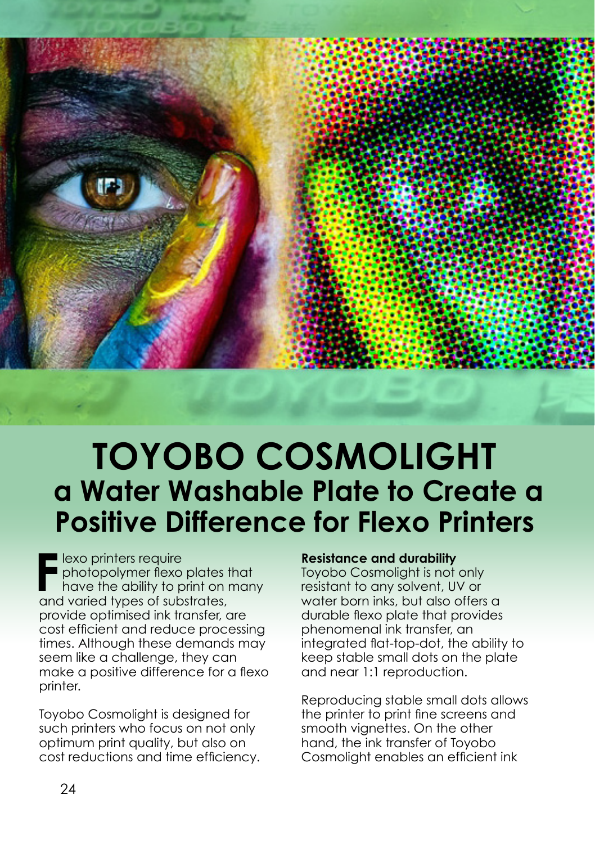

## **TOYOBO COSMOLIGHT a Water Washable Plate to Create a Positive Difference for Flexo Printers**

**F** lexo printers require<br>
photopolymer flexo plates thave the ability to print on to<br>
and varied types of substrates, **lexo printers require** photopolymer flexo plates that have the ability to print on many provide optimised ink transfer, are cost efficient and reduce processing times. Although these demands may seem like a challenge, they can make a positive difference for a flexo printer.

Toyobo Cosmolight is designed for such printers who focus on not only optimum print quality, but also on cost reductions and time efficiency.

## **Resistance and durability**

Toyobo Cosmolight is not only resistant to any solvent, UV or water born inks, but also offers a durable flexo plate that provides phenomenal ink transfer, an integrated flat-top-dot, the ability to keep stable small dots on the plate and near 1:1 reproduction.

Reproducing stable small dots allows the printer to print fine screens and smooth vignettes. On the other hand, the ink transfer of Toyobo Cosmolight enables an efficient ink